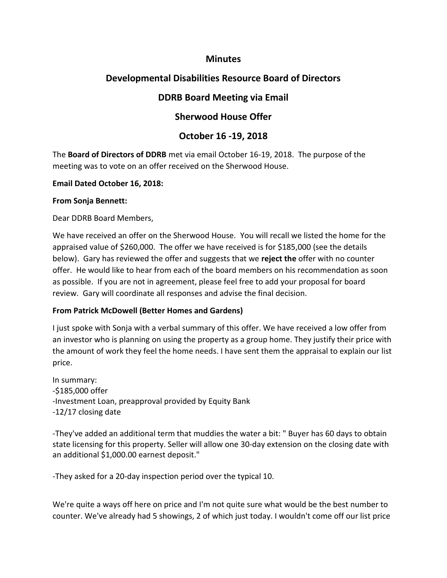### **Minutes**

# **Developmental Disabilities Resource Board of Directors**

# **DDRB Board Meeting via Email**

## **Sherwood House Offer**

# **October 16 -19, 2018**

The **Board of Directors of DDRB** met via email October 16-19, 2018. The purpose of the meeting was to vote on an offer received on the Sherwood House.

#### **Email Dated October 16, 2018:**

#### **From Sonja Bennett:**

Dear DDRB Board Members,

We have received an offer on the Sherwood House. You will recall we listed the home for the appraised value of \$260,000. The offer we have received is for \$185,000 (see the details below). Gary has reviewed the offer and suggests that we **reject the** offer with no counter offer. He would like to hear from each of the board members on his recommendation as soon as possible. If you are not in agreement, please feel free to add your proposal for board review. Gary will coordinate all responses and advise the final decision.

#### **From Patrick McDowell (Better Homes and Gardens)**

I just spoke with Sonja with a verbal summary of this offer. We have received a low offer from an investor who is planning on using the property as a group home. They justify their price with the amount of work they feel the home needs. I have sent them the appraisal to explain our list price.

In summary: -\$185,000 offer -Investment Loan, preapproval provided by Equity Bank -12/17 closing date

-They've added an additional term that muddies the water a bit: " Buyer has 60 days to obtain state licensing for this property. Seller will allow one 30-day extension on the closing date with an additional \$1,000.00 earnest deposit."

-They asked for a 20-day inspection period over the typical 10.

We're quite a ways off here on price and I'm not quite sure what would be the best number to counter. We've already had 5 showings, 2 of which just today. I wouldn't come off our list price